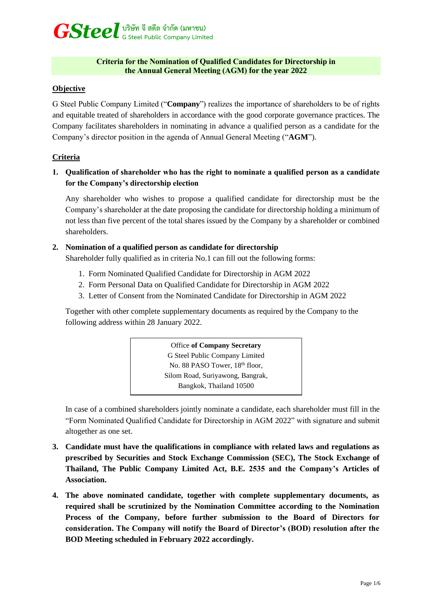# *GSteel* **บริษัท จี สตีล จำกัด (มหาชน) G Steel Public Company Limited**

### **Criteria for the Nomination of Qualified Candidates for Directorship in the Annual General Meeting (AGM) for the year 2022**

## **Objective**

G Steel Public Company Limited ("**Company**") realizes the importance of shareholders to be of rights and equitable treated of shareholders in accordance with the good corporate governance practices. The Company facilitates shareholders in nominating in advance a qualified person as a candidate for the Company's director position in the agenda of Annual General Meeting ("**AGM**").

## **Criteria**

## **1. Qualification of shareholder who has the right to nominate a qualified person as a candidate for the Company's directorship election**

Any shareholder who wishes to propose a qualified candidate for directorship must be the Company's shareholder at the date proposing the candidate for directorship holding a minimum of not less than five percent of the total shares issued by the Company by a shareholder or combined shareholders.

## **2. Nomination of a qualified person as candidate for directorship**

Shareholder fully qualified as in criteria No.1 can fill out the following forms:

- 1. Form Nominated Qualified Candidate for Directorship in AGM 2022
- 2. Form Personal Data on Qualified Candidate for Directorship in AGM 2022
- 3. Letter of Consent from the Nominated Candidate for Directorship in AGM 2022

Together with other complete supplementary documents as required by the Company to the following address within 28 January 2022.

# Office **of Company Secretary**

G Steel Public Company Limited No. 88 PASO Tower, 18<sup>th</sup> floor, Silom Road, Suriyawong, Bangrak, Bangkok, Thailand 10500

In case of a combined shareholders jointly nominate a candidate, each shareholder must fill in the "Form Nominated Qualified Candidate for Directorship in AGM 2022" with signature and submit altogether as one set.

- **3. Candidate must have the qualifications in compliance with related laws and regulations as prescribed by Securities and Stock Exchange Commission (SEC), The Stock Exchange of Thailand, The Public Company Limited Act, B.E. 2535 and the Company's Articles of Association.**
- **4. The above nominated candidate, together with complete supplementary documents, as required shall be scrutinized by the Nomination Committee according to the Nomination Process of the Company, before further submission to the Board of Directors for consideration. The Company will notify the Board of Director's (BOD) resolution after the BOD Meeting scheduled in February 2022 accordingly.**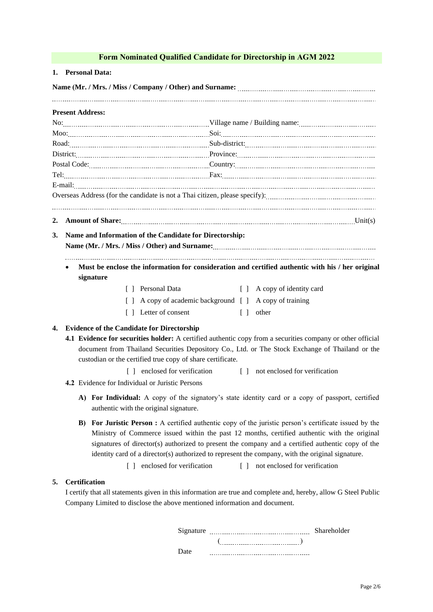|    | Form Nominated Qualified Candidate for Directorship in AGM 2022                                                                                                                                                                     |
|----|-------------------------------------------------------------------------------------------------------------------------------------------------------------------------------------------------------------------------------------|
|    | 1. Personal Data:                                                                                                                                                                                                                   |
|    |                                                                                                                                                                                                                                     |
|    | <b>Present Address:</b>                                                                                                                                                                                                             |
|    |                                                                                                                                                                                                                                     |
|    |                                                                                                                                                                                                                                     |
|    |                                                                                                                                                                                                                                     |
|    |                                                                                                                                                                                                                                     |
|    |                                                                                                                                                                                                                                     |
|    |                                                                                                                                                                                                                                     |
|    |                                                                                                                                                                                                                                     |
|    |                                                                                                                                                                                                                                     |
| 2. | <b>Amount of Share:</b> [[11] Unit(s) Unit Contains the Unit Contains the Unit Contains the Unit Contains the Unit Contains the Unit Contains the Unit Contains the Unit Contains the Unit Contains the Unit Contains the Unit Cont |
| 3. | Name and Information of the Candidate for Directorship:                                                                                                                                                                             |
|    |                                                                                                                                                                                                                                     |
|    |                                                                                                                                                                                                                                     |
|    | Must be enclose the information for consideration and certified authentic with his / her original                                                                                                                                   |
|    | signature                                                                                                                                                                                                                           |
|    | [ ] Personal Data<br>[ ] A copy of identity card                                                                                                                                                                                    |
|    | [ ] A copy of academic background [ ] A copy of training                                                                                                                                                                            |
|    | [] Letter of consent<br>$\lceil \cdot \rceil$ other                                                                                                                                                                                 |
| 4. | <b>Evidence of the Candidate for Directorship</b>                                                                                                                                                                                   |
|    | 4.1 Evidence for securities holder: A certified authentic copy from a securities company or other official                                                                                                                          |
|    | document from Thailand Securities Depository Co., Ltd. or The Stock Exchange of Thailand or the                                                                                                                                     |
|    | custodian or the certified true copy of share certificate.                                                                                                                                                                          |
|    | [ ] enclosed for verification [ ] not enclosed for verification                                                                                                                                                                     |
|    | 4.2 Evidence for Individual or Juristic Persons                                                                                                                                                                                     |
|    | A) For Individual: A copy of the signatory's state identity card or a copy of passport, certified                                                                                                                                   |
|    | authentic with the original signature.                                                                                                                                                                                              |
|    | <b>B)</b> For Juristic Person : A certified authentic copy of the juristic person's certificate issued by the                                                                                                                       |
|    | Ministry of Commerce issued within the past 12 months, certified authentic with the original                                                                                                                                        |
|    | signatures of director(s) authorized to present the company and a certified authentic copy of the                                                                                                                                   |
|    | identity card of a director(s) authorized to represent the company, with the original signature.                                                                                                                                    |
|    | enclosed for verification<br>not enclosed for verification<br>$\Box$<br>$\Box$                                                                                                                                                      |
| 5. | <b>Certification</b>                                                                                                                                                                                                                |
|    | I certify that all statements given in this information are true and complete and, hereby, allow G Steel Public                                                                                                                     |
|    | Company Limited to disclose the above mentioned information and document.                                                                                                                                                           |

| Signature | Shareholder |  |  |
|-----------|-------------|--|--|
|           |             |  |  |
| Date      |             |  |  |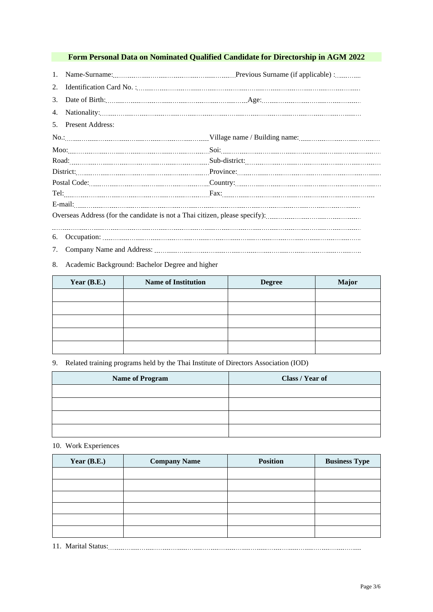## **Form Personal Data on Nominated Qualified Candidate for Directorship in AGM 2022**

1. Name-Surname: Previous Surname (if applicable) :

| - - |  |
|-----|--|
|     |  |

3. Date of Birth: Age:

4. Nationality:

| 5. Present Address: |  |
|---------------------|--|
|                     |  |
|                     |  |
|                     |  |
|                     |  |
|                     |  |
|                     |  |
|                     |  |
|                     |  |
| 6.                  |  |

7. Company Name and Address:

#### 8. Academic Background: Bachelor Degree and higher

| Year $(B.E.)$ | <b>Name of Institution</b> | <b>Degree</b> | <b>Major</b> |
|---------------|----------------------------|---------------|--------------|
|               |                            |               |              |
|               |                            |               |              |
|               |                            |               |              |
|               |                            |               |              |
|               |                            |               |              |

9. Related training programs held by the Thai Institute of Directors Association (IOD)

| <b>Name of Program</b> | Class / Year of |
|------------------------|-----------------|
|                        |                 |
|                        |                 |
|                        |                 |
|                        |                 |

#### 10. Work Experiences

| Year $(B.E.)$ | <b>Company Name</b> | <b>Position</b> | <b>Business Type</b> |
|---------------|---------------------|-----------------|----------------------|
|               |                     |                 |                      |
|               |                     |                 |                      |
|               |                     |                 |                      |
|               |                     |                 |                      |
|               |                     |                 |                      |
|               |                     |                 |                      |

11. Marital Status: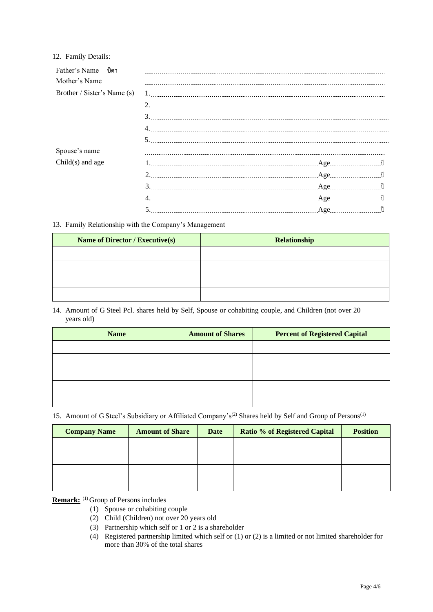#### 12. Family Details:

| Father's Name บิดา          |                                                                                                                                                                                                                                                                                                                                                                                                                                                                                                                                            |                 |  |
|-----------------------------|--------------------------------------------------------------------------------------------------------------------------------------------------------------------------------------------------------------------------------------------------------------------------------------------------------------------------------------------------------------------------------------------------------------------------------------------------------------------------------------------------------------------------------------------|-----------------|--|
| Mother's Name               | $\label{thm:main} \begin{minipage}[t]{0.9\textwidth} \centering \begin{minipage}[t]{0.9\textwidth} \centering \begin{minipage}[t]{0.9\textwidth} \centering \end{minipage}[t]{0.9\textwidth} \centering \begin{minipage}[t]{0.9\textwidth} \centering \end{minipage}[t]{0.9\textwidth} \centering \begin{minipage}[t]{0.9\textwidth} \centering \end{minipage}[t]{0.9\textwidth} \centering \begin{minipage}[t]{0.9\textwidth} \centering \end{minipage}[t]{0.9\textwidth} \centering \begin{minipage}[t]{0.9\textwidth} \centering \end{$ |                 |  |
| Brother / Sister's Name (s) |                                                                                                                                                                                                                                                                                                                                                                                                                                                                                                                                            |                 |  |
|                             |                                                                                                                                                                                                                                                                                                                                                                                                                                                                                                                                            |                 |  |
|                             |                                                                                                                                                                                                                                                                                                                                                                                                                                                                                                                                            |                 |  |
|                             |                                                                                                                                                                                                                                                                                                                                                                                                                                                                                                                                            |                 |  |
|                             |                                                                                                                                                                                                                                                                                                                                                                                                                                                                                                                                            |                 |  |
| Spouse's name               |                                                                                                                                                                                                                                                                                                                                                                                                                                                                                                                                            |                 |  |
| $Child(s)$ and age          | 1. Age 1. Age 1. 1                                                                                                                                                                                                                                                                                                                                                                                                                                                                                                                         |                 |  |
|                             | 2. Age 10                                                                                                                                                                                                                                                                                                                                                                                                                                                                                                                                  |                 |  |
|                             | 3. Age and Age and Age and Age and Age and Age and Age and Age and Age and Age and Age and Age and Age and Age and Age and Age and Age and Age and Age and Age and Age and Age and Age and Age and Age and Age and Age and Age                                                                                                                                                                                                                                                                                                             |                 |  |
|                             |                                                                                                                                                                                                                                                                                                                                                                                                                                                                                                                                            | $Age$ $\vec{v}$ |  |
|                             | 5. Age and Age and Age and the U.S. of the U.S. of the U.S. of the U.S. of the U.S. of the U.S. of the U.S. of the U.S. of the U.S. of the U.S. of the U.S. of the U.S. of the U.S. of the U.S. of the U.S. of the U.S. of the                                                                                                                                                                                                                                                                                                             |                 |  |

13. Family Relationship with the Company's Management

| <b>Name of Director / Executive(s)</b> | <b>Relationship</b> |
|----------------------------------------|---------------------|
|                                        |                     |
|                                        |                     |
|                                        |                     |
|                                        |                     |

14. Amount of G Steel Pcl. shares held by Self, Spouse or cohabiting couple, and Children (not over 20 years old)

| <b>Name</b> | <b>Amount of Shares</b> | <b>Percent of Registered Capital</b> |
|-------------|-------------------------|--------------------------------------|
|             |                         |                                      |
|             |                         |                                      |
|             |                         |                                      |
|             |                         |                                      |
|             |                         |                                      |

15. Amount of G Steel's Subsidiary or Affiliated Company's<sup>(2)</sup> Shares held by Self and Group of Persons<sup>(1)</sup>

| <b>Company Name</b> | <b>Amount of Share</b> | Date | <b>Ratio % of Registered Capital</b> | <b>Position</b> |
|---------------------|------------------------|------|--------------------------------------|-----------------|
|                     |                        |      |                                      |                 |
|                     |                        |      |                                      |                 |
|                     |                        |      |                                      |                 |
|                     |                        |      |                                      |                 |

**Remark:** (1) Group of Persons includes

- (1) Spouse or cohabiting couple
- (2) Child (Children) not over 20 years old
- (3) Partnership which self or 1 or 2 is a shareholder
- (4) Registered partnership limited which self or (1) or (2) is a limited or not limited shareholder for more than 30% of the total shares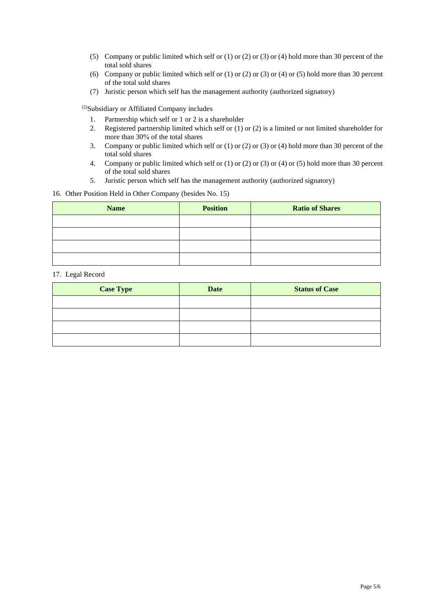- (5) Company or public limited which self or (1) or (2) or (3) or (4) hold more than 30 percent of the total sold shares
- (6) Company or public limited which self or (1) or (2) or (3) or (4) or (5) hold more than 30 percent of the total sold shares
- (7) Juristic person which self has the management authority (authorized signatory)

(2)Subsidiary or Affiliated Company includes

- 1. Partnership which self or 1 or 2 is a shareholder
- 2. Registered partnership limited which self or (1) or (2) is a limited or not limited shareholder for more than 30% of the total shares
- 3. Company or public limited which self or (1) or (2) or (3) or (4) hold more than 30 percent of the total sold shares
- 4. Company or public limited which self or (1) or (2) or (3) or (4) or (5) hold more than 30 percent of the total sold shares
- 5. Juristic person which self has the management authority (authorized signatory)

16. Other Position Held in Other Company (besides No. 15)

| <b>Name</b> | <b>Position</b> | <b>Ratio of Shares</b> |
|-------------|-----------------|------------------------|
|             |                 |                        |
|             |                 |                        |
|             |                 |                        |
|             |                 |                        |

#### 17. Legal Record

| <b>Case Type</b> | <b>Date</b> | <b>Status of Case</b> |
|------------------|-------------|-----------------------|
|                  |             |                       |
|                  |             |                       |
|                  |             |                       |
|                  |             |                       |